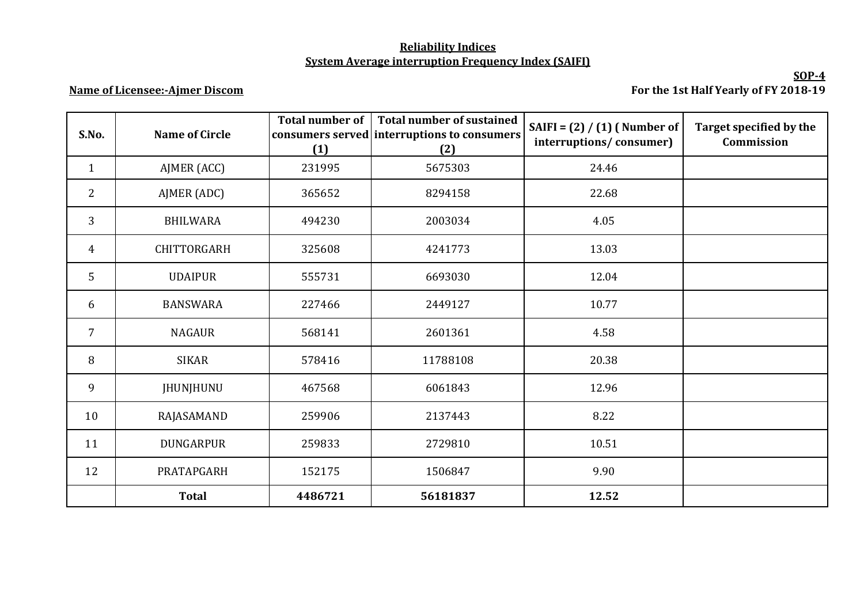## **Reliability Indices System Average interruption Frequency Index (SAIFI)**

## **Name of Licensee:-Ajmer Discom**

**SOP-4 For the 1st Half Yearly of FY 2018-19**

| S.No.          | <b>Name of Circle</b> | <b>Total number of</b><br>(1) | <b>Total number of sustained</b><br>consumers served interruptions to consumers<br>(2) | SAIFI = $(2) / (1)$ (Number of<br>interruptions/consumer) | Target specified by the<br>Commission |
|----------------|-----------------------|-------------------------------|----------------------------------------------------------------------------------------|-----------------------------------------------------------|---------------------------------------|
| $\mathbf{1}$   | AJMER (ACC)           | 231995                        | 5675303                                                                                | 24.46                                                     |                                       |
| $\overline{2}$ | AJMER (ADC)           | 365652                        | 8294158                                                                                | 22.68                                                     |                                       |
| 3              | <b>BHILWARA</b>       | 494230                        | 2003034                                                                                | 4.05                                                      |                                       |
| $\overline{4}$ | CHITTORGARH           | 325608                        | 4241773                                                                                | 13.03                                                     |                                       |
| 5              | <b>UDAIPUR</b>        | 555731                        | 6693030                                                                                | 12.04                                                     |                                       |
| 6              | <b>BANSWARA</b>       | 227466                        | 2449127                                                                                | 10.77                                                     |                                       |
| $\overline{7}$ | <b>NAGAUR</b>         | 568141                        | 2601361                                                                                | 4.58                                                      |                                       |
| 8              | <b>SIKAR</b>          | 578416                        | 11788108                                                                               | 20.38                                                     |                                       |
| 9              | <b>JHUNJHUNU</b>      | 467568                        | 6061843                                                                                | 12.96                                                     |                                       |
| 10             | RAJASAMAND            | 259906                        | 2137443                                                                                | 8.22                                                      |                                       |
| 11             | <b>DUNGARPUR</b>      | 259833                        | 2729810                                                                                | 10.51                                                     |                                       |
| 12             | PRATAPGARH            | 152175                        | 1506847                                                                                | 9.90                                                      |                                       |
|                | <b>Total</b>          | 4486721                       | 56181837                                                                               | 12.52                                                     |                                       |